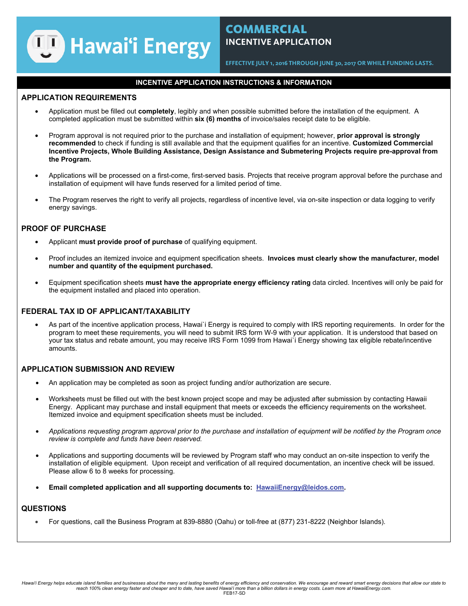

# **COMMERCIAL INCENTIVE APPLICATION**

**EFFECTIVE JULY 1, 2016 THROUGH JUNE 30, 2017 OR WHILE FUNDING LASTS.** 

## **INCENTIVE APPLICATION INSTRUCTIONS & INFORMATION**

### **APPLICATION REQUIREMENTS**

- Application must be filled out **completely**, legibly and when possible submitted before the installation of the equipment. A completed application must be submitted within **six (6) months** of invoice/sales receipt date to be eligible.
- Program approval is not required prior to the purchase and installation of equipment; however, **prior approval is strongly recommended** to check if funding is still available and that the equipment qualifies for an incentive. **Customized Commercial Incentive Projects, Whole Building Assistance, Design Assistance and Submetering Projects require pre-approval from the Program.**
- Applications will be processed on a first-come, first-served basis. Projects that receive program approval before the purchase and installation of equipment will have funds reserved for a limited period of time.
- The Program reserves the right to verify all projects, regardless of incentive level, via on-site inspection or data logging to verify energy savings.

## **PROOF OF PURCHASE**

- Applicant **must provide proof of purchase** of qualifying equipment.
- Proof includes an itemized invoice and equipment specification sheets. **Invoices must clearly show the manufacturer, model number and quantity of the equipment purchased.**
- Equipment specification sheets **must have the appropriate energy efficiency rating** data circled. Incentives will only be paid for the equipment installed and placed into operation.

## **FEDERAL TAX ID OF APPLICANT/TAXABILITY**

• As part of the incentive application process, Hawai`i Energy is required to comply with IRS reporting requirements. In order for the program to meet these requirements, you will need to submit IRS form W-9 with your application. It is understood that based on your tax status and rebate amount, you may receive IRS Form 1099 from Hawai`i Energy showing tax eligible rebate/incentive amounts.

## **APPLICATION SUBMISSION AND REVIEW**

- An application may be completed as soon as project funding and/or authorization are secure.
- Worksheets must be filled out with the best known project scope and may be adjusted after submission by contacting Hawaii Energy. Applicant may purchase and install equipment that meets or exceeds the efficiency requirements on the worksheet. Itemized invoice and equipment specification sheets must be included.
- *Applications requesting program approval prior to the purchase and installation of equipment will be notified by the Program once review is complete and funds have been reserved.*
- Applications and supporting documents will be reviewed by Program staff who may conduct an on-site inspection to verify the installation of eligible equipment. Upon receipt and verification of all required documentation, an incentive check will be issued. Please allow 6 to 8 weeks for processing.
- **Email completed application and all supporting documents to: HawaiiEnergy@leidos.com.**

## **QUESTIONS**

• For questions, call the Business Program at 839-8880 (Oahu) or toll-free at (877) 231-8222 (Neighbor Islands).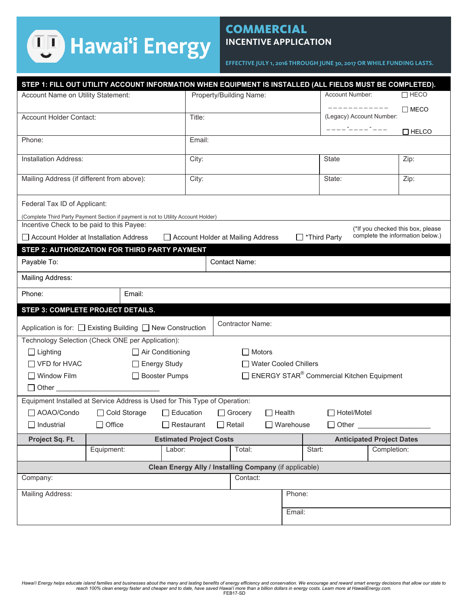# **Hawai'i Energy**

# **COMMERCIAL INCENTIVE APPLICATION**

**EFFECTIVE JULY 1, 2016 THROUGH JUNE 30, 2017 OR WHILE FUNDING LASTS.** 

|                                                                                                                                          |                                                                                    |                                          |                                                                    |                         |                                                       | STEP 1: FILL OUT UTILITY ACCOUNT INFORMATION WHEN EQUIPMENT IS INSTALLED (ALL FIELDS MUST BE COMPLETED). |  |  |
|------------------------------------------------------------------------------------------------------------------------------------------|------------------------------------------------------------------------------------|------------------------------------------|--------------------------------------------------------------------|-------------------------|-------------------------------------------------------|----------------------------------------------------------------------------------------------------------|--|--|
| Account Name on Utility Statement:                                                                                                       |                                                                                    |                                          | Property/Building Name:                                            |                         | Account Number:                                       | $\Box$ HECO                                                                                              |  |  |
|                                                                                                                                          |                                                                                    |                                          |                                                                    |                         | -----------                                           | $\Box$ MECO                                                                                              |  |  |
| Account Holder Contact:                                                                                                                  |                                                                                    | Title:                                   |                                                                    |                         |                                                       | (Legacy) Account Number:                                                                                 |  |  |
|                                                                                                                                          |                                                                                    |                                          |                                                                    |                         | ____ <sup>-</sup> ____ <sup>-</sup> ___               | $\Box$ HELCO                                                                                             |  |  |
| Phone:                                                                                                                                   |                                                                                    |                                          |                                                                    |                         |                                                       |                                                                                                          |  |  |
| Installation Address:                                                                                                                    |                                                                                    |                                          | City:                                                              |                         | <b>State</b>                                          | Zip:                                                                                                     |  |  |
|                                                                                                                                          |                                                                                    |                                          |                                                                    |                         |                                                       |                                                                                                          |  |  |
| Mailing Address (if different from above):                                                                                               |                                                                                    | City:                                    |                                                                    |                         | State:                                                | Zip:                                                                                                     |  |  |
|                                                                                                                                          |                                                                                    |                                          |                                                                    |                         |                                                       |                                                                                                          |  |  |
| Federal Tax ID of Applicant:                                                                                                             |                                                                                    |                                          |                                                                    |                         |                                                       |                                                                                                          |  |  |
|                                                                                                                                          | (Complete Third Party Payment Section if payment is not to Utility Account Holder) |                                          |                                                                    |                         |                                                       |                                                                                                          |  |  |
| Incentive Check to be paid to this Payee:                                                                                                |                                                                                    |                                          |                                                                    |                         |                                                       | (*If you checked this box, please                                                                        |  |  |
| complete the information below.)<br>Account Holder at Installation Address<br>$\Box$ *Third Party<br>□ Account Holder at Mailing Address |                                                                                    |                                          |                                                                    |                         |                                                       |                                                                                                          |  |  |
|                                                                                                                                          | STEP 2: AUTHORIZATION FOR THIRD PARTY PAYMENT                                      |                                          |                                                                    |                         |                                                       |                                                                                                          |  |  |
| Payable To:                                                                                                                              |                                                                                    |                                          | <b>Contact Name:</b>                                               |                         |                                                       |                                                                                                          |  |  |
| Mailing Address:                                                                                                                         |                                                                                    |                                          |                                                                    |                         |                                                       |                                                                                                          |  |  |
| Phone:                                                                                                                                   | Email:                                                                             |                                          |                                                                    |                         |                                                       |                                                                                                          |  |  |
|                                                                                                                                          | STEP 3: COMPLETE PROJECT DETAILS.                                                  |                                          |                                                                    |                         |                                                       |                                                                                                          |  |  |
| Application is for: □ Existing Building □ New Construction                                                                               |                                                                                    |                                          | <b>Contractor Name:</b>                                            |                         |                                                       |                                                                                                          |  |  |
|                                                                                                                                          |                                                                                    |                                          |                                                                    |                         |                                                       |                                                                                                          |  |  |
|                                                                                                                                          | Technology Selection (Check ONE per Application):                                  |                                          |                                                                    |                         |                                                       |                                                                                                          |  |  |
| $\Box$ Lighting                                                                                                                          |                                                                                    | $\Box$ Air Conditioning                  | <b>Motors</b>                                                      |                         |                                                       |                                                                                                          |  |  |
| $\Box$ VFD for HVAC                                                                                                                      | $\Box$ Energy Study                                                                |                                          |                                                                    | □ Water Cooled Chillers |                                                       |                                                                                                          |  |  |
| □ Window Film                                                                                                                            |                                                                                    | □ Booster Pumps                          |                                                                    |                         | ENERGY STAR <sup>®</sup> Commercial Kitchen Equipment |                                                                                                          |  |  |
|                                                                                                                                          | □ Other <u>______________________________</u>                                      |                                          |                                                                    |                         |                                                       |                                                                                                          |  |  |
|                                                                                                                                          | Equipment Installed at Service Address is Used for This Type of Operation:         |                                          |                                                                    |                         |                                                       |                                                                                                          |  |  |
| AOAO/Condo                                                                                                                               | □ Cold Storage                                                                     | $\Box$ Education                         | $\Box$ Grocery                                                     | $\Box$ Health           | Hotel/Motel                                           |                                                                                                          |  |  |
| $\Box$ Industrial                                                                                                                        | Office                                                                             | $\Box$ Restaurant                        | $\Box$ Retail                                                      | $\Box$ Warehouse        | Other                                                 |                                                                                                          |  |  |
|                                                                                                                                          |                                                                                    |                                          |                                                                    |                         |                                                       |                                                                                                          |  |  |
| Project Sq. Ft.                                                                                                                          | Equipment:                                                                         | <b>Estimated Project Costs</b><br>Labor: | Total:                                                             |                         | Start:                                                | <b>Anticipated Project Dates</b><br>Completion:                                                          |  |  |
|                                                                                                                                          |                                                                                    |                                          |                                                                    |                         |                                                       |                                                                                                          |  |  |
| Company:                                                                                                                                 |                                                                                    |                                          | Clean Energy Ally / Installing Company (if applicable)<br>Contact: |                         |                                                       |                                                                                                          |  |  |
|                                                                                                                                          |                                                                                    |                                          |                                                                    | Phone:                  |                                                       |                                                                                                          |  |  |
| Mailing Address:                                                                                                                         |                                                                                    |                                          |                                                                    | Email:                  |                                                       |                                                                                                          |  |  |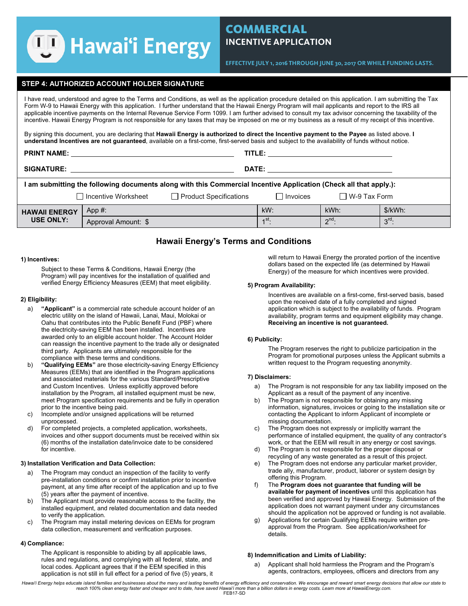# **WA** Hawai'i Energy

# **COMMERCIAL INCENTIVE APPLICATION**

**EFFECTIVE JULY 1, 2016 THROUGH JUNE 30, 2017 OR WHILE FUNDING LASTS.** 

### **STEP 4: AUTHORIZED ACCOUNT HOLDER SIGNATURE**

I have read, understood and agree to the Terms and Conditions, as well as the application procedure detailed on this application. I am submitting the Tax Form W-9 to Hawaii Energy with this application. I further understand that the Hawaii Energy Program will mail applicants and report to the IRS all applicable incentive payments on the Internal Revenue Service Form 1099. I am further advised to consult my tax advisor concerning the taxability of the incentive. Hawaii Energy Program is not responsible for any taxes that may be imposed on me or my business as a result of my receipt of this incentive.

By signing this document, you are declaring that **Hawaii Energy is authorized to direct the Incentive payment to the Payee** as listed above. **I understand Incentives are not guaranteed**, available on a first-come, first-served basis and subject to the availability of funds without notice.

| <b>PRINT NAME:</b>                                                                                                |                                                        | TITLE:       |                    |                     |                   |  |  |  |  |
|-------------------------------------------------------------------------------------------------------------------|--------------------------------------------------------|--------------|--------------------|---------------------|-------------------|--|--|--|--|
| <b>SIGNATURE:</b>                                                                                                 |                                                        | <b>DATE:</b> |                    |                     |                   |  |  |  |  |
| I am submitting the following documents along with this Commercial Incentive Application (Check all that apply.): |                                                        |              |                    |                     |                   |  |  |  |  |
|                                                                                                                   | □ Incentive Worksheet<br>$\Box$ Product Specifications |              | Invoices           | $\Box$ W-9 Tax Form |                   |  |  |  |  |
| <b>HAWAII ENERGY</b>                                                                                              | App #:                                                 |              | $kW$ :             | kWh:                | \$/kWh:           |  |  |  |  |
| <b>USE ONLY:</b>                                                                                                  | Approval Amount: \$                                    |              | $\overline{1}$ st. | $2^{nd}$            | $3^{\text{rd}}$ : |  |  |  |  |

# **Hawaii Energy's Terms and Conditions**

#### **1) Incentives:**

Subject to these Terms & Conditions, Hawaii Energy (the Program) will pay incentives for the installation of qualified and verified Energy Efficiency Measures (EEM) that meet eligibility.

#### **2) Eligibility:**

- a) **"Applicant"** is a commercial rate schedule account holder of an electric utility on the island of Hawaii, Lanai, Maui, Molokai or Oahu that contributes into the Public Benefit Fund (PBF) where the electricity-saving EEM has been installed. Incentives are awarded only to an eligible account holder. The Account Holder can reassign the incentive payment to the trade ally or designated third party. Applicants are ultimately responsible for the compliance with these terms and conditions.
- b) **"Qualifying EEMs"** are those electricity-saving Energy Efficiency Measures (EEMs) that are identified in the Program applications and associated materials for the various Standard/Prescriptive and Custom Incentives. Unless explicitly approved before installation by the Program, all installed equipment must be new, meet Program specification requirements and be fully in operation prior to the incentive being paid.
- c) Incomplete and/or unsigned applications will be returned unprocessed.
- d) For completed projects, a completed application, worksheets, invoices and other support documents must be received within six (6) months of the installation date/invoice date to be considered for incentive.

#### **3) Installation Verification and Data Collection:**

- a) The Program may conduct an inspection of the facility to verify pre-installation conditions or confirm installation prior to incentive payment, at any time after receipt of the application and up to five (5) years after the payment of incentive.
- b) The Applicant must provide reasonable access to the facility, the installed equipment, and related documentation and data needed to verify the application.
- c) The Program may install metering devices on EEMs for program data collection, measurement and verification purposes.

#### **4) Compliance:**

The Applicant is responsible to abiding by all applicable laws, rules and regulations, and complying with all federal, state, and local codes. Applicant agrees that if the EEM specified in this application is not still in full effect for a period of five (5) years, it will return to Hawaii Energy the prorated portion of the incentive dollars based on the expected life (as determined by Hawaii Energy) of the measure for which incentives were provided.

#### **5) Program Availability:**

Incentives are available on a first-come, first-served basis, based upon the received date of a fully completed and signed application which is subject to the availability of funds. Program availability, program terms and equipment eligibility may change. **Receiving an incentive is not guaranteed.** 

#### **6) Publicity:**

The Program reserves the right to publicize participation in the Program for promotional purposes unless the Applicant submits a written request to the Program requesting anonymity.

#### **7) Disclaimers:**

- a) The Program is not responsible for any tax liability imposed on the Applicant as a result of the payment of any incentive.
- b) The Program is not responsible for obtaining any missing information, signatures, invoices or going to the installation site or contacting the Applicant to inform Applicant of incomplete or missing documentation.
- c) The Program does not expressly or implicitly warrant the performance of installed equipment, the quality of any contractor's work, or that the EEM will result in any energy or cost savings.
- d) The Program is not responsible for the proper disposal or recycling of any waste generated as a result of this project.
- e) The Program does not endorse any particular market provider, trade ally, manufacturer, product, laborer or system design by offering this Program.
- f) The **Program does not guarantee that funding will be available for payment of incentives** until this application has been verified and approved by Hawaii Energy. Submission of the application does not warrant payment under any circumstances should the application not be approved or funding is not available.
- g) Applications for certain Qualifying EEMs require written preapproval from the Program. See application/worksheet for details.

#### **8) Indemnification and Limits of Liability:**

a) Applicant shall hold harmless the Program and the Program's agents, contractors, employees, officers and directors from any

*Hawai'i Energy helps educate island families and businesses about the many and lasting benefits of energy efficiency and conservation. We encourage and reward smart energy decisions that allow our state to reach 100% clean energy faster and cheaper and to date, have saved Hawai'i more than a billion dollars in energy costs. Learn more at HawaiiEnergy.com.*  FEB17-SD